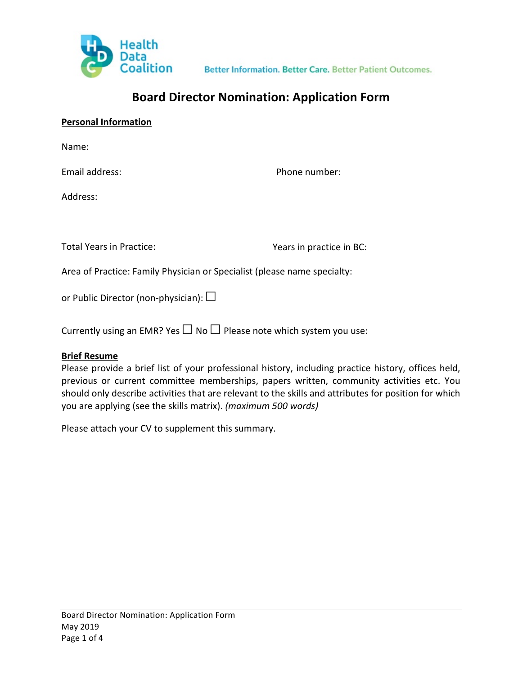

Better Information. Better Care. Better Patient Outcomes.

# **Board Director Nomination: Application Form**

## **Personal Information**

Name: 

Email address: The Contract of the Phone number:

Address: 

Total Years in Practice: The Contraction of Vears in practice in BC:

Area of Practice: Family Physician or Specialist (please name specialty:

or Public Director (non-physician):  $\square$ 

Currently using an EMR? Yes  $\square$  No  $\square$  Please note which system you use:

# **Brief Resume**

Please provide a brief list of your professional history, including practice history, offices held, previous or current committee memberships, papers written, community activities etc. You should only describe activities that are relevant to the skills and attributes for position for which you are applying (see the skills matrix). *(maximum 500 words)* 

Please attach your CV to supplement this summary.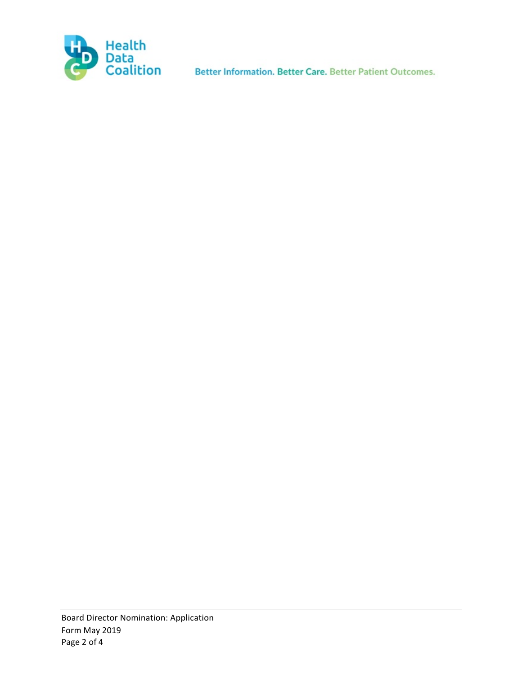

**Coalition** Better Information. Better Care. Better Patient Outcomes.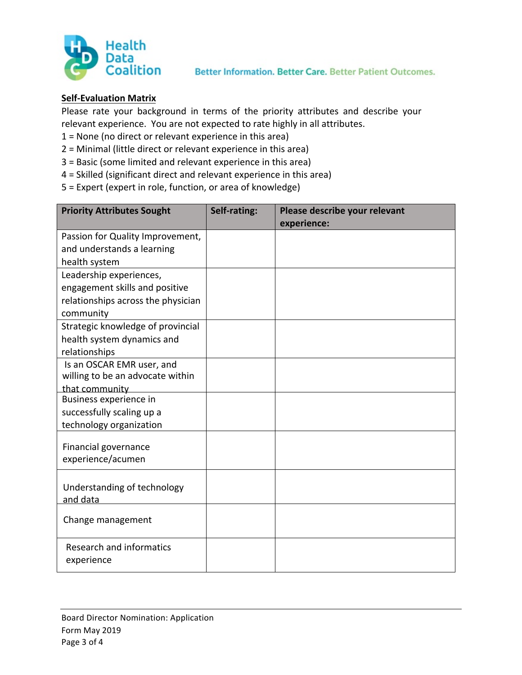

# **Self-Evaluation Matrix**

Please rate your background in terms of the priority attributes and describe your relevant experience. You are not expected to rate highly in all attributes.

- $1 =$  None (no direct or relevant experience in this area)
- $2$  = Minimal (little direct or relevant experience in this area)
- 3 = Basic (some limited and relevant experience in this area)
- $4$  = Skilled (significant direct and relevant experience in this area)
- 5 = Expert (expert in role, function, or area of knowledge)

| <b>Priority Attributes Sought</b>  | Self-rating: | Please describe your relevant<br>experience: |
|------------------------------------|--------------|----------------------------------------------|
| Passion for Quality Improvement,   |              |                                              |
| and understands a learning         |              |                                              |
| health system                      |              |                                              |
| Leadership experiences,            |              |                                              |
| engagement skills and positive     |              |                                              |
| relationships across the physician |              |                                              |
| community                          |              |                                              |
| Strategic knowledge of provincial  |              |                                              |
| health system dynamics and         |              |                                              |
| relationships                      |              |                                              |
| Is an OSCAR EMR user, and          |              |                                              |
| willing to be an advocate within   |              |                                              |
| that community                     |              |                                              |
| Business experience in             |              |                                              |
| successfully scaling up a          |              |                                              |
| technology organization            |              |                                              |
| Financial governance               |              |                                              |
| experience/acumen                  |              |                                              |
|                                    |              |                                              |
| Understanding of technology        |              |                                              |
| and data                           |              |                                              |
|                                    |              |                                              |
| Change management                  |              |                                              |
| <b>Research and informatics</b>    |              |                                              |
| experience                         |              |                                              |
|                                    |              |                                              |